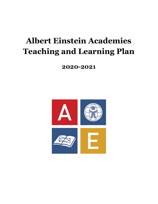# **Albert Einstein Academies Teaching and Learning Plan**

**2020-2021**

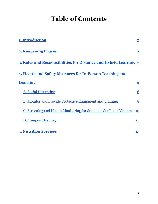## **Table of Contents**

| 1. Introduction                                                             | $\overline{\mathbf{2}}$ |
|-----------------------------------------------------------------------------|-------------------------|
| <b>2. Reopening Phases</b>                                                  | $\overline{\mathbf{2}}$ |
| 3. Roles and Responsibilities for Distance and Hybrid Learning 3            |                         |
| 4. Health and Safety Measures for In-Person Teaching and                    |                         |
| <b>Learning</b>                                                             | $\overline{\mathbf{6}}$ |
| <b>A. Social Distancing</b>                                                 | 6                       |
| <b>B. Monitor and Provide Protective Equipment and Training</b>             | 8                       |
| <u>C. Screening and Health Monitoring for Students, Staff, and Visitors</u> | 10                      |
| <b>D. Campus Cleaning</b>                                                   | 14                      |
| <b>5. Nutrition Services</b>                                                | 15                      |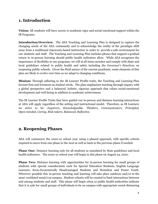## <span id="page-2-0"></span>**1. Introduction**

**Vision:** All students will have access to academic rigor and social-emotional support within the IB Programs.

**Introduction/Overview:** The AEA Teaching and Learning Plan is designed to capture the changing needs of the AEA community and to acknowledge the reality of the paradigm shift away from a traditional classroom-based instruction in order to provide a safe environment for our students and staff. The Teaching and Learning Plan includes phases that support a gradual return to in-person learning should public health indicators allow. While AEA recognizes the importance of flexibility in our programs, we will at all times monitor and comply with State and local guidelines related to public health and safety including the Governor's directives on reopening public schools. Given the fluid nature of the current pandemic, some elements of this plan are likely to evolve over time as we adapt to changing conditions.

**Mission:** Through adhering to the IB Learner Profile traits, the Teaching and Learning Plan focuses first and foremost on student needs. The plan emphasizes teaching through inquiry with a global perspective and a balanced, holistic, rigorous approach that values social-emotional development and well-being in addition to academic achievement.

The IB Learner Profile Traits that have guided our in-person and distance learning interactions at AEA will apply regardless of the setting and instructional model. Therefore, as IB Learners we strive to be: *Inquirers, Knowledgeable, Thinkers, Communicators, Principled, Open-minded, Caring, Risk-takers, Balanced, Reflective.*

## <span id="page-2-1"></span>**2. Reopening Phases**

AEA will commence the 2020-21 school year using a phased approach, with specific criteria required to move from one phase to the next as well as back to the previous phase if needed:

**Phase One:** Distance learning only for all students as mandated by State guidelines and local health indicators. The 2020-21 school year will begin in this phase on August 24, 2020.

**Phase Two:** Distance learning with opportunities for in-person learning for small groups of students with special consideration such for Special Education Students, English Language Learners, Socio-Economically Disadvantaged Students and Homeless and Foster Youth. Wherever possible this in-person teaching and learning will take place outdoors and/or in the most ventilated area(s) on campus. Student cohorts will be created to limit interactions between and among students and staff. This phase will begin when a) public health authorities indicate that it is safe for small groups of individuals to be on campus with appropriate social-distancing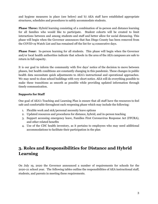and hygiene measures in place (see below) and b) AEA staff have established appropriate structures, schedules and procedures to safely accommodate students.

**Phase Three:** Hybrid learning consisting of a combination of in-person and distance learning for all families who would like to participate. Student cohorts will be created to limit interactions between and among students and staff and better allow for social distancing. This phase will begin when the Governor announces that San Diego County has been removed from the COVID-19 Watch List and has remained off the list for 14 consecutive days.

**Phase Four:** In-person learning for all students. This phase will begin when the Governor and/or local health authorities indicate that schools in the area of the AEA campuses are safe to return in full capacity.

It is our goal to inform the community with five days' notice of the decision to move between phases, but health conditions are constantly changing in this pandemic. These changes in public health data necessitate quick adjustments to AEA's instructional and operational approaches. We may need to close school buildings with very short notice. AEA will do everything possible to make these transitions as smooth as possible while providing updated information through timely communication.

#### **Supports for Staff**

One goal of AEA's Teaching and Learning Plan is ensure that all staff have the resources to feel safe and comfortable throughout each reopening phase which may include the following:

- 1. Flexible work and sick/personal necessity leave options
- 2. Updated resources and procedures for distance, hybrid, and in-person teaching
- 3. Support accessing emergency leave, Families First Coronavirus Response Act (FFCRA), and other related benefits
- 4. Use of the CDC health inventory, as it pertains to employees who may need additional accommodations to facilitate their participation in the plan

## <span id="page-3-0"></span>**3. Roles and Responsibilities for Distance and Hybrid Learning**

On July 19, 2020 the Governor announced a number of requirements for schools for the 2020-21 school year. The following tables outline the responsibilities of AEA instructional staff, students, and parents in meeting these requirements.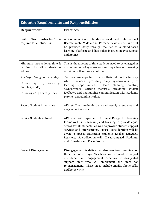| <b>Educator Requirements and Responsibilities</b>                                                                     |                                                                                                                                                                                                                                                                                                                                                                                                |  |
|-----------------------------------------------------------------------------------------------------------------------|------------------------------------------------------------------------------------------------------------------------------------------------------------------------------------------------------------------------------------------------------------------------------------------------------------------------------------------------------------------------------------------------|--|
| Requirement                                                                                                           | <b>Practices</b>                                                                                                                                                                                                                                                                                                                                                                               |  |
| "live"<br>instruction"<br>Daily<br><i>is</i><br>required for all students                                             | A Common Core Standards-Based and International<br>Baccalaureate Middle and Primary Years curriculum will<br>be provided daily through the use of a cloud-based<br>learning platform and live video instruction (via Canvas<br>and Zoom).                                                                                                                                                      |  |
| Minimum instructional time is<br>required for all students as<br>follows:                                             | This is the amount of time students need to be engaged in<br>a combination of synchronous and asynchronous learning<br>activities both online and offline.                                                                                                                                                                                                                                     |  |
| <i>Kindergarten:</i> 3 hours per day<br>Grades 1-3:<br>3 hours, 50<br>minutes per day<br>Grades 4-12: 4 hours per day | Teachers are expected to work their full contracted day<br>which includes: providing daily synchronous<br>(live)<br>learning<br>opportunities,<br>planning,<br>team<br>creating<br>asynchronous learning materials, providing<br>student<br>feedback, and maintaining communication with students,<br>parents, and administration.                                                             |  |
| <b>Record Student Attendance</b>                                                                                      | AEA staff will maintain daily and weekly attendance and<br>engagement records.                                                                                                                                                                                                                                                                                                                 |  |
| Service Students in Need                                                                                              | AEA staff will implement Universal Design for Learning<br>Framework into teaching and learning to provide equal<br>access for all students, as well as provide student support<br>services and interventions. Special consideration will be<br>given to Special Education Students, English Language<br>Learners, Socio-Economically Disadvantaged Students,<br>and Homeless and Foster Youth. |  |
| <b>Prevent Disengagement</b>                                                                                          | Disengagement is defined as absences from learning for<br>three or more days. Teachers are required to report<br>attendance and engagement concerns to designated<br>support staff who will implement the steps for<br>re-engagement. These steps include emails, phone calls,<br>and home visits.                                                                                             |  |

#### 4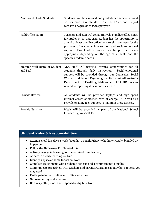| <b>Assess and Grade Students</b>          | Students will be assessed and graded each semester based<br>on Common Core standards and the IB criteria. Report<br>cards will be provided twice per year.                                                                                                                                                                                                                                      |
|-------------------------------------------|-------------------------------------------------------------------------------------------------------------------------------------------------------------------------------------------------------------------------------------------------------------------------------------------------------------------------------------------------------------------------------------------------|
| <b>Hold Office Hours</b>                  | Teachers and staff will collaboratively plan live office hours<br>for students, so that each student has the opportunity to<br>attend at least one live office hour session per week for the<br>purposes of academic intervention and social-emotional<br>support. Parent office hours may be provided when<br>appropriate depending on the age of students and the<br>specific academic needs. |
| Monitor Well Being of Student<br>and Self | AEA staff will provide learning opportunities for all<br>students through daily instruction. Social-emotional<br>support will be provided through our Counselor, Social<br>Worker, and School Psychologists. Staff must adhere to CA<br>Department of Health guidelines and AEA HR policies<br>related to reporting illness and sick leave.                                                     |
| <b>Provide Devices</b>                    | All students will be provided laptops and high speed<br>internet access as needed, free of charge. AEA will also<br>provide ongoing tech support to maintain these devices.                                                                                                                                                                                                                     |
| <b>Provide Nutrition</b>                  | Meals will be provided as part of the National School<br>Lunch Program (NSLP).                                                                                                                                                                                                                                                                                                                  |

#### **Student Roles & Responsibilities**

- Attend school five days a week (Monday through Friday) whether virtually, blended or in person
- Follow the IB Learner Profile Attributes
- Actively engage in learning for the required minutes daily
- Adhere to a daily learning routine
- Identify a space at home for school work
- Complete assignments with academic honesty and a commitment to quality
- Communicate proactively with teachers and parents/guardians about what supports you may need
- Participate in both online and offline activities
- Get regular physical exercise
- Be a respectful, kind, and responsible digital citizen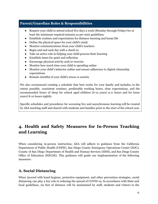#### **Parent/Guardian Roles & Responsibilities**

- Require your child to attend school five days a week (Monday through Friday) for at least the minimum required minutes as per state guidelines.
- Establish routines and expectations for distance learning and home life
- Define the physical space for your child's study
- Monitor communications from your child's teachers
- Begin and end each day with a check-in
- Take an active role in helping your child process their learning
- Establish times for quiet and reflection
- Encourage physical activity and/or exercise
- Monitor how much time your child is spending online
- Monitor your child's behavior online and ensure adherence to digital citizenship expectations
- Remain mindful of your child's stress or anxiety

We also recommend creating a schedule that best works for your family and includes, to the extent possible, consistent routines, predictable working hours, clear expectations, and the recommended hours of sleep for school aged children (6-12 years) 9-11 hours and for teens years) 8-10 hours nightly.

Specific schedules and procedures for accessing live and asynchronous learning will be created by AEA teaching staff and shared with students and families prior to the start of the school year.

## <span id="page-6-0"></span>**4. Health and Safety Measures for In-Person Teaching and Learning**

When considering in-person instruction, AEA will adhere to guidance from the California Department of Public Health (CDPH), San Diego County Emergency Operations Center (EOC), County of San Diego Department of Health and Human Services (HHS), and San Diego County Office of Education (SDCOE). This guidance will guide our implementation of the following measures:

### <span id="page-6-1"></span>**A. Social Distancing**

When layered with hand hygiene, protective equipment, and other prevention strategies, social distancing can play a key role in reducing the spread of COVID-19. In accordance with State and local guidelines, six feet of distance will be maintained by staff, students and visitors to the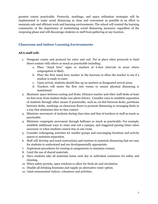greatest extent practicable. Protocols, markings, and space utilization strategies will be implemented to make social distancing as clear and convenient as possible in an effort to maintain safe and efficient work and learning environments. The school will remind the learning community of the importance of maintaining social distancing measures regardless of the reopening phase and will discourage students or staff from gathering at any location.

#### **Classroom and Indoor Learning Environments**

#### **AEA staff will:**

- 1. Designate routes and protocol for entry and exit. Put in place other protocols to limit direct contact with others as much as practicable including:
	- a. Place "stand here" signs or markers at 6-foot intervals in areas where congregation is likely.
	- b. Place the first stand here marker in the doorway to allow the teacher to see if a student is ready to enter.
	- c. Upon arrival, students should line up on markers at designated arrival areas.
	- d. Teachers will meter the flow into rooms to ensure physical distancing is maintained.
- 2. Maximize space between seating and desks. Distance teacher and other staff desks at least six feet away from student desks (see photo below). Consider ways to establish separation of students through other means if practicable, such as, six feet between desks, partitions between desks, markings on classroom floors to promote distancing or arranging desks in a way that minimizes face-to-face contact.
- 3. Minimize movement of students during class time and that of teachers or staff as much as practicable.
- 4. Minimize congregate movement through hallways as much as practicable. For example, establish additional ways to enter and exit a campus, and staggered passing times when necessary or when students cannot stay in one room.
- 5. Consider redesigning activities for smaller groups and rearranging furniture and activity spaces to maintain separation.
- 6. Staff will develop and teach instructions and routines to maintain distancing that are easy for students to understand and are developmentally appropriate.
- 7. Implement procedures for turning in assignments to minimize contact.
- 8. Limit the use of shared materials.
- 9. Have students take all materials home each day in individual containers for safety and cleaning.
- 10. When safety permits, open windows to allow for fresh air and circulation.
- 11. Disable all drinking fountains and supply an alternative water option.
- 12. Limit nonessential visitors, volunteers and activities.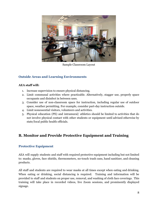

Sample Classroom Layout

#### **Outside Areas and Learning Environments**

#### **AEA staff will:**

- 1. Increase supervision to ensure physical distancing.
- 2. Limit communal activities where practicable. Alternatively, stagger use, properly space occupants and disinfect in between uses.
- 3. Consider use of non-classroom space for instruction, including regular use of outdoor space, weather permitting. For example, consider part-day instruction outside.
- 4. Limit nonessential visitors, volunteers and activities.
- 5. Physical education (PE) and intramural/ athletics should be limited to activities that do not involve physical contact with other students or equipment until advised otherwise by state/local public health officials.

## <span id="page-8-0"></span>**B. Monitor and Provide Protective Equipment and Training**

#### **Protective Equipment**

AEA will supply students and staff with required protective equipment including but not limited to: masks, gloves, face shields, thermometers, no-touch trash cans, hand sanitizer, and cleaning products.

All staff and students are required to wear masks at all times except when eating and drinking. When eating or drinking, social distancing is required. Training and [information](https://www.cdc.gov/coronavirus/2019-ncov/prevent-getting-sick/diy-cloth-face-coverings.html) will be provided to staff and students on proper use, removal, and washing of cloth face coverings. This training will take place in recorded videos, live Zoom sessions, and prominently displayed signage.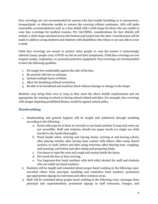Face coverings are not recommended for anyone who has trouble breathing or is unconscious, incapacitated, or otherwise unable to remove the covering without assistance. AEA will make reasonable accommodations such as a face shield with a cloth drape for those who are unable to wear face coverings for medical reasons. Per Cal/OSHA, considerations for face shields will include a cloth drape attached across the bottom and tucked into the shirt. Consideration will be made to address young students and students with disabilities who refuse or are not able to wear a mask.

Cloth face coverings are meant to protect other people in case the wearer is unknowingly infected (many people carry COVID-19 but do not have symptoms). Cloth face coverings are not surgical masks, respirators, or personal protective equipment. Face coverings are recommended to have the following qualities:

- 1. Fit snugly but comfortably against the side of the face.
- 2. Be secured with ties or earloops.
- 3. Include multiple layers of fabric.
- 4. Allow for breathing without restriction.
- 5. Be able to be laundered and machine dried without damage or change to the shape.

Students may bring their own as long as they meet the above health requirements and are appropriate for wearing at school or during school-related activities. For example, face coverings with images depicting prohibited themes would be against school policy.

#### **Handwashing**

- 1. Handwashing and general hygiene will be taught and reinforced through modeling according to the following:
	- a. Scrub with soap for at least 20 seconds or use hand sanitizer if soap and water are not accessible. Staff and students should use paper towels (or single use cloth towels) to dry hands thoroughly.
	- b. Wash hands when: arriving and leaving home; arriving at and leaving school; after playing outside; after having close contact with others; after using shared surfaces or tools; before and after using restroom; after blowing nose, coughing, and sneezing; and before and after eating and preparing foods.
	- c. Use tissue to wipe the nose and cough and sneeze inside the tissue.
	- d. Not touch the face or face covering.
	- e. Use fragrance-free hand sanitizer with 60% ethyl alcohol for staff and students who can safely use hand sanitizer.
- 2. Students will be taught and reminded about proper hand washing in the following ways: recorded videos from principal; modeling and reminders from teachers; prominent age-appropriate signage in restrooms and other common areas.
- 3. Staff will be reminded about proper hand washing in the following ways: messages from principal and superintendent; prominent signage in staff restrooms, lounges, and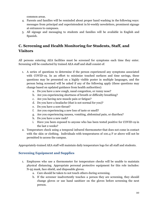common areas.

- 4. Parents and families will be reminded about proper hand washing in the following ways: messages from principal and superintendent in bi-weekly newsletters, prominent signage at entrances to campuses.
- 5. All signage and messaging to students and families will be available in English and Spanish.

## <span id="page-10-0"></span>**C. Screening and Health Monitoring for Students, Staff, and Visitors**

All persons entering AEA facilities must be screened for symptoms each time they enter. Screening will be conducted by trained AEA staff and shall consist of:

- 1. A series of questions to determine if the person experienced any symptoms associated with COVID-19. In an effort to minimize touched surfaces and time savings, these questions may be presented on a highly visible poster in multiple languages, and the person being screened will be asked if any of the following apply (these questions may change based on updated guidance from health authorities):
	- a. Do you have a new cough, nasal congestion, or runny nose?
	- b. Are you experiencing shortness of breath or difficulty breathing?
	- c. Are you having new muscle pain or fatigue?
	- d. Do you have a headache (that is not normal for you)?
	- e. Do you have a sore throat?
	- f. Are you experiencing a new loss of taste or smell?
	- g. Are you experiencing nausea, vomiting, abdominal pain, or diarrhea?
	- h. Do you have a new rash?
	- i. Have you been exposed to anyone who has been tested positive for COVID-19 in the last 2 weeks?
- 2. Temperature check using a temporal infrared thermometer that does not come in contact with the skin or clothing. Individuals with temperatures of 100.4 F or above will not be permitted to access the campus.

Appropriately-trained AEA staff will maintain daily temperature logs for all staff and students.

#### **Screening Equipment and Supplies**

- 1. Employees who use a thermometer for temperature checks will be unable to maintain physical distancing. Appropriate personal protective equipment for this role includes: N-95 mask, face shield, and disposable gloves.
	- a. Care should be taken to not touch others during screening.
	- b. If the screener inadvertently touches a person they are screening, they should change gloves or use hand sanitizer on the gloves before screening the next person.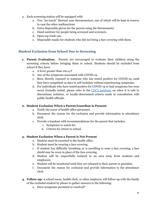- 2. Each screening station will be equipped with:
	- a. Two "no-touch" thermal scan thermometers, one of which will be kept in reserve in case the other malfunctions
	- b. Extra disposable gloves for the person using the thermometer
	- c. Hand sanitizer for people being screened and screeners.
	- d. Open top trash can.
	- e. Disposable masks for students who did not bring a face covering with them.

#### **Student Exclusion from School Due to Screening**

- **1. Parent Evaluation:** Parents are encouraged to evaluate their children using the screening criteria before bringing them to school. Students should be excluded from school if they have:
	- a. A fever greater than 100.4 F
	- b. Any of the symptoms associated with COVID-19.
	- c. Been directly exposed to someone who has tested positive for COVID-19, until they have completed 14-days in self-isolation without experiencing symptoms.
	- d. For individuals who have tested positive for COVID-19 or had symptoms but were never formally tested, please refer to the CDC's [guidance](https://www.cdc.gov/coronavirus/2019-ncov/hcp/disposition-in-home-patients.html) on when it is safe to discontinue isolation, or locally-determined criteria made in consultation with public health officials.

#### **2. Student Exclusion When a Parent/Guardian is Present:**

- a. Notify the nurse of health office personnel.
- b. Document the reason for the exclusion and provide information to attendance clerk.
- c. Provide a handout with recommendations for the parent that includes:
	- i. Symptoms to watch for.
	- ii. Criteria for return to school.

#### **3. Student Exclusion When a Parent is Not Present**

- a. Student must be escorted to the health office.
- b. Student must be wearing a face covering.
- c. If student has difficulty breathing or is unwilling to wear a face covering, a face shield may be worn in place of the face covering.
- d. Student will be respectfully isolated in an area away from students and employees.
- e. Student will be monitored until they are released to their parent or guardian.
- f. Document the reason for exclusion and provide information to the attendance clerk.
- **4. Follow-up:** A school nurse, health clerk, or other employee will follow-up with the family of the excluded student by phone to gather answers to the following:
	- a. Have symptoms persisted or resolved?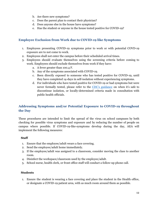- b. Are there new symptoms?
- c. Does the parent plan to contact their physician?
- d. Does anyone else in the house have symptoms?
- e. Has the student or anyone in the house tested positive for COVID-19?

#### **Employee Exclusion from Work due to COVID-19 like Symptoms**

- 1. Employees presenting COVID-19 symptoms prior to work or with potential COVD-19 exposure are to not come to work.
- 2. Employees shall not enter the campus before their scheduled arrival times.
- 3. Employees should evaluate themselves using the screening criteria before coming to work. Employees should exclude themselves from work if they have:
	- a. A fever greater than 100.4 F.
	- b. Any of the symptoms associated with COVID-19.
	- c. Been directly exposed to someone who has tested positive for COVID-19, until they have completed 14-days in self-isolation without experiencing symptoms.
	- d. For individuals who have tested positive for COVID-19 or had symptoms but were never formally tested, please refer to the CDC's [guidance](https://www.cdc.gov/coronavirus/2019-ncov/hcp/disposition-in-home-patients.html) on when it's safe to discontinue isolation, or locally-determined criteria made in consultation with public health officials.

#### **Addressing Symptoms and/or Potential Exposure to COVID-19 throughout the Day**

These procedures are intended to limit the spread of the virus on school campuses by both checking for possible virus symptoms and exposure and by reducing the number of people on campus where possible. If COVID-19-like-symptoms develop during the day, AEA will implement the following measures:

#### **Staff**

- 1. Ensure that the employee/adult wears a face covering.
- 2. Send the employee/adult home immediately.
- 3. If the employee/adult was assigned to a classroom, consider moving the class to another room.
- 4. Disinfect the workspace/classroom used by the employee/adult.
- 5. School nurse, health clerk, or front office staff will conduct a follow-up phone call.

#### **Students**

1. Ensure the student is wearing a face covering and place the student in the Health office, or designate a COVID-19 patient area, with as much room around them as possible.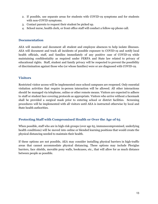- 2. If possible, use separate areas for students with COVID-19 symptoms and for students with non-COVID symptoms.
- 3. Contact parents to request their student be picked up.
- 4. School nurse, health clerk, or front office staff will conduct a follow-up phone call.

#### **Documentation**

AEA will monitor and document all student and employee absences to help isolate illnesses. AEA will document and track all incidents of possible exposure to COVID-19 and notify local health officials, staff, and families immediately of any positive case of COVID-19 while maintaining confidentiality as required under FERPA and State law related to privacy of educational rights. Staff, student and family privacy will be respected to prevent the possibility of discrimination against those who (or whose families) were or are diagnosed with COVID-19.

#### **Visitors**

Restricted visitor access will be implemented once school campuses are reopened. Only essential visitation activities that require in-person interaction will be allowed. All other interactions should be managed via telephone, online or other remote means. Visitors are expected to adhere to staff or student face covering protocols as appropriate. Visitors who arrive without a facemask shall be provided a surgical mask prior to entering school or district facilities. Screening procedures will be implemented with all visitors until AEA is instructed otherwise by local and State health authorities.

#### **Protecting Staff with Compromised Health or Over the Age of 65**

When possible, staff who are in high-risk groups (over age 65, immunocompromised, underlying health conditions) will be moved into online or blended learning positions that would create the physical distancing needed to maintain their health.

If these options are not possible, AEA may consider installing physical barriers in high-traffic areas that cannot accommodate physical distancing. These options may include Plexiglas barriers, face shields, movable pony walls, bookcases, etc., that will allow for as much distance between people as possible.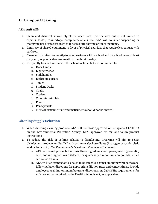## <span id="page-14-0"></span>**D. Campus Cleaning**

#### **AEA staff will:**

- 1. Clean and disinfect shared objects between uses—this includes but is not limited to copiers, tables, countertops, computers/tablets, etc. AEA will consider suspending or modifying use of site resources that necessitate sharing or touching items.
- 2. Limit use of shared equipment in favor of physical activities that require less contact with surfaces.
- 3. Clean and disinfect frequently-touched surfaces within school and on school buses at least daily and, as practicable, frequently throughout the day.
- 4. Frequently touched surfaces in the school include, but are not limited to:
	- a. Door handle
	- b. Light switches
	- c. Sink handles
	- d. Bathroom surface
	- e. Tables
	- f. Student Desks
	- g. Chairs
	- h. Copiers
	- i. Computers/tablets
	- j. Phone
	- k. Pens/pencils
	- l. Musical instruments (wind instruments should not be shared)

#### **Cleaning Supply Selection**

- 1. When choosing cleaning products, AEA will use those approved for use against COVID-19 on the Environmental Protection Agency (EPA)-approved list "N" and follow product instructions.
- 2. To reduce the risk of asthma related to disinfecting, programs will aim to select disinfectant products on list "N" with asthma-safer ingredients (hydrogen peroxide, citric acid or lactic acid). *See Recommended Custodial Products attachment.*
	- a. AEA will avoid products that mix these ingredients with peroxyacetic (peracetic) acid, sodium hypochlorite (bleach) or quaternary ammonium compounds, which can cause asthma.
	- b. AEA will use disinfectants labeled to be effective against emerging viral pathogens, following label directions for appropriate dilution rates and contact times. Provide employees training on manufacturer's directions, on Cal/OSHA requirements for safe use and as required by the Healthy Schools Act, as applicable.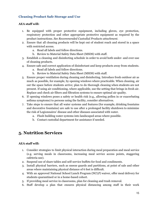#### **Cleaning Product Safe Storage and Use**

#### **AEA staff will:**

- 1. Be equipped with proper protective equipment, including gloves, eye protection, respiratory protection and other appropriate protective equipment as required by the product instructions. *See Recommended Custodial Products attachment.*
- 2. Ensure that all cleaning products will be kept out of student reach and stored in a space with restricted access.
	- a. Read all labels and follow directions.
	- b. Review to Material Safety Data Sheet (MSDS) with staff.
- 3. Establish a cleaning and disinfecting schedule in order to avoid both under- and over-use of cleaning products.
- 4. Ensure safe and correct application of disinfectant and keep products away from students.
	- a. Read all labels and follow directions.
	- b. Review to Material Safety Data Sheet (MSDS) with staff.
- 5. Ensure proper ventilation during cleaning and disinfecting. Introduce fresh outdoor air as much as possible, for example, by opening windows where practicable. When cleaning, air out the space before students arrive; plan to do thorough cleaning when students are not present. If using air conditioning, where applicable, use the setting that brings in fresh air. Replace and check air filters and filtration systems to ensure optimal air quality.
- 6. If opening windows poses a safety or health risk (e.g., allowing pollen in or exacerbating asthma symptoms) to persons using the facility, consider alternatives.
- 7. Take steps to ensure that all water systems and features (for example, drinking fountains and decorative fountains) are safe to use after a prolonged facility shutdown to minimize the risk of Legionnaires' disease and other diseases associated with water.
	- a. Flush building water systems into landscaped areas where possible.
	- b. Contact custodial department for assistance if needed.

## <span id="page-15-0"></span>**5. Nutrition Services**

#### **AEA staff will:**

- 1. Consider strategies to limit physical interaction during meal preparation and meal service (e.g. serving meals in classrooms, increasing meal service access points, staggering cafeteria use).
- 2. Suspend use of share tables and self-service buffets for food and condiments.
- 3. Install physical barriers, such as sneeze guards and partitions, at point of sale and other areas where maintaining physical distance of 6 feet is difficult.
- 4. With an approved National School Lunch Program (NCLP) waiver, offer meal delivery for students quarantined or in a home-based cohort.
- 5. If providing meal service in classrooms, plan for cleaning and trash removal.
- 6. Staff develop a plan that ensures physical distancing among staff in their work